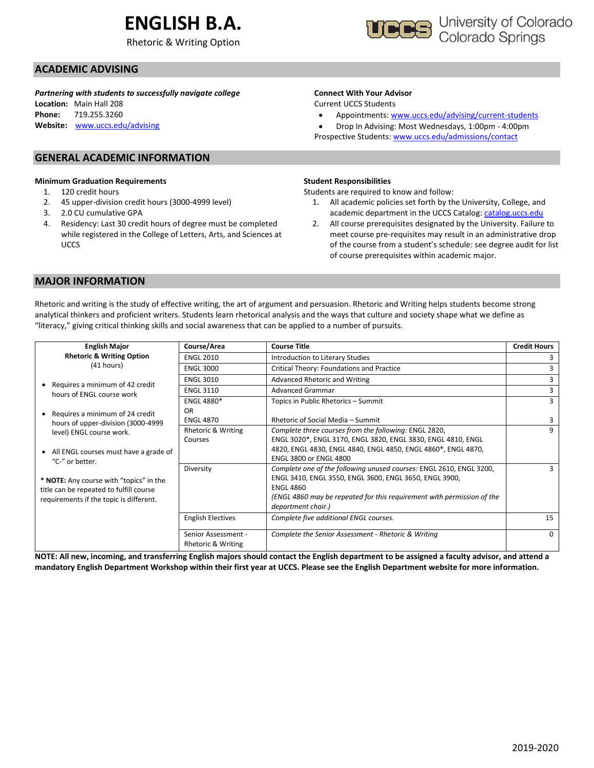# **ENGLISH B.A.**

Rhetoric & Writing Option



### **ACADEMIC ADVISING**

*Partnering with students to successfully navigate college*

**Location:** Main Hall 208 **Phone:** 719.255.3260 **Website:** [www.uccs.edu/advising](http://www.uccs.edu/advising)

#### **GENERAL ACADEMIC INFORMATION**

#### **Minimum Graduation Requirements**

- 1. 120 credit hours
- 2. 45 upper-division credit hours (3000-4999 level)
- 3. 2.0 CU cumulative GPA
- 4. Residency: Last 30 credit hours of degree must be completed while registered in the College of Letters, Arts, and Sciences at UCCS

#### **Connect With Your Advisor**

Current UCCS Students

• Appointments: [www.uccs.edu/advising/current-students](http://www.uccs.edu/advising/current-students)

• Drop In Advising: Most Wednesdays, 1:00pm - 4:00pm Prospective Students: [www.uccs.edu/admissions/contact](http://www.uccs.edu/admissions/contact)

#### **Student Responsibilities**

Students are required to know and follow:

- 1. All academic policies set forth by the University, College, and academic department in the UCCS Catalog[: catalog.uccs.edu](file://///columbia/dept/Success/Advising%20Guides/197%20Advising%20Guides/catalog.uccs.edu)
- 2. All course prerequisites designated by the University. Failure to meet course pre-requisites may result in an administrative drop of the course from a student's schedule: see degree audit for list of course prerequisites within academic major.

#### **MAJOR INFORMATION**

Rhetoric and writing is the study of effective writing, the art of argument and persuasion. Rhetoric and Writing helps students become strong analytical thinkers and proficient writers. Students learn rhetorical analysis and the ways that culture and society shape what we define as "literacy," giving critical thinking skills and social awareness that can be applied to a number of pursuits.

| <b>English Major</b>                           | Course/Area                                                             | <b>Course Title</b>                                                    | <b>Credit Hours</b> |  |  |  |
|------------------------------------------------|-------------------------------------------------------------------------|------------------------------------------------------------------------|---------------------|--|--|--|
| <b>Rhetoric &amp; Writing Option</b>           | <b>ENGL 2010</b>                                                        | Introduction to Literary Studies                                       |                     |  |  |  |
| $(41$ hours)                                   | <b>ENGL 3000</b>                                                        | Critical Theory: Foundations and Practice                              |                     |  |  |  |
| Requires a minimum of 42 credit                | <b>ENGL 3010</b>                                                        | Advanced Rhetoric and Writing                                          |                     |  |  |  |
| hours of ENGL course work                      | <b>ENGL 3110</b>                                                        | Advanced Grammar                                                       | 3                   |  |  |  |
|                                                | <b>ENGL 4880*</b>                                                       | Topics in Public Rhetorics - Summit                                    | 3                   |  |  |  |
| Requires a minimum of 24 credit                | <b>OR</b>                                                               |                                                                        |                     |  |  |  |
| hours of upper-division (3000-4999             | <b>ENGL 4870</b>                                                        | Rhetoric of Social Media - Summit                                      |                     |  |  |  |
| level) ENGL course work.                       | Rhetoric & Writing                                                      | Complete three courses from the following: ENGL 2820,                  | 9                   |  |  |  |
|                                                | ENGL 3020*, ENGL 3170, ENGL 3820, ENGL 3830, ENGL 4810, ENGL<br>Courses |                                                                        |                     |  |  |  |
| All ENGL courses must have a grade of          |                                                                         | 4820, ENGL 4830, ENGL 4840, ENGL 4850, ENGL 4860*, ENGL 4870,          |                     |  |  |  |
| $\bullet$<br>"C-" or better.                   |                                                                         | <b>ENGL 3800 or ENGL 4800</b>                                          |                     |  |  |  |
|                                                | Diversity                                                               | Complete one of the following unused courses: ENGL 2610, ENGL 3200,    |                     |  |  |  |
| * <b>NOTE:</b> Any course with "topics" in the |                                                                         | ENGL 3410, ENGL 3550, ENGL 3600, ENGL 3650, ENGL 3900,                 |                     |  |  |  |
| title can be repeated to fulfill course        |                                                                         | <b>ENGL 4860</b>                                                       |                     |  |  |  |
| requirements if the topic is different.        |                                                                         | (ENGL 4860 may be repeated for this requirement with permission of the |                     |  |  |  |
|                                                |                                                                         | department chair.)                                                     |                     |  |  |  |
|                                                | <b>English Electives</b>                                                | Complete five additional ENGL courses.                                 | 15                  |  |  |  |
|                                                | Senior Assessment -                                                     | Complete the Senior Assessment - Rhetoric & Writing                    | U                   |  |  |  |
|                                                | <b>Rhetoric &amp; Writing</b>                                           |                                                                        |                     |  |  |  |

**NOTE: All new, incoming, and transferring English majors should contact the English department to be assigned a faculty advisor, and attend a mandatory English Department Workshop within their first year at UCCS. Please see the English Department website for more information.**